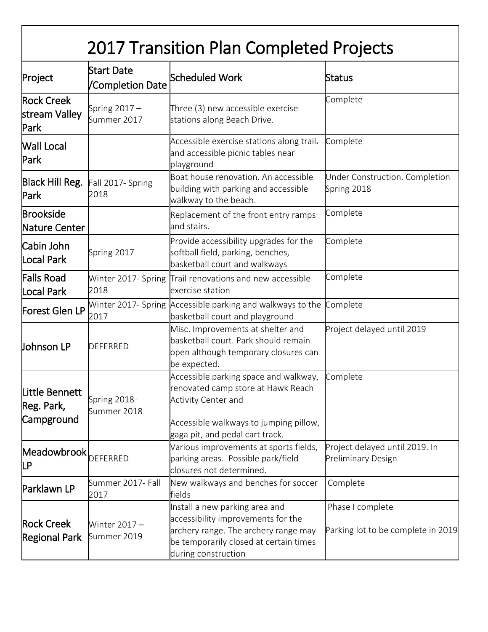| 2017 Transition Plan Completed Projects    |                                |                                                                                                                                                                                 |                                                             |  |
|--------------------------------------------|--------------------------------|---------------------------------------------------------------------------------------------------------------------------------------------------------------------------------|-------------------------------------------------------------|--|
| Project                                    | Start Date<br>/Completion Date | Scheduled Work                                                                                                                                                                  | Status                                                      |  |
| <b>Rock Creek</b><br>stream Valley<br>Park | Spring $2017 -$<br>Summer 2017 | Three (3) new accessible exercise<br>stations along Beach Drive.                                                                                                                | Complete                                                    |  |
| <b>Wall Local</b><br>Park                  |                                | Accessible exercise stations along trail-<br>and accessible picnic tables near<br>playground                                                                                    | Complete                                                    |  |
| Black Hill Reg.<br>Park                    | Fall 2017- Spring<br>2018      | Boat house renovation. An accessible<br>building with parking and accessible<br>walkway to the beach.                                                                           | Under Construction. Completion<br>Spring 2018               |  |
| <b>Brookside</b><br>Nature Center          |                                | Replacement of the front entry ramps<br>and stairs.                                                                                                                             | Complete                                                    |  |
| <b>Cabin John</b><br>Local Park            | Spring 2017                    | Provide accessibility upgrades for the<br>softball field, parking, benches,<br>basketball court and walkways                                                                    | Complete                                                    |  |
| Falls Road<br>Local Park                   | 2018                           | Winter 2017- Spring Trail renovations and new accessible<br>exercise station                                                                                                    | Complete                                                    |  |
| Forest Glen LP                             | 2017                           | Winter 2017- Spring Accessible parking and walkways to the<br>basketball court and playground                                                                                   | Complete                                                    |  |
| <b>Johnson LP</b>                          | <b>DEFERRED</b>                | Misc. Improvements at shelter and<br>basketball court. Park should remain<br>open although temporary closures can<br>be expected.                                               | Project delayed until 2019                                  |  |
| Little Bennett<br>Reg. Park,<br>Campground | Spring 2018-<br>Summer 2018    | Accessible parking space and walkway,<br>renovated camp store at Hawk Reach<br>Activity Center and<br>Accessible walkways to jumping pillow,<br>gaga pit, and pedal cart track. | Complete                                                    |  |
| Meadowbrook<br>LР                          | <b>DEFERRED</b>                | Various improvements at sports fields,<br>parking areas. Possible park/field<br>closures not determined.                                                                        | Project delayed until 2019. In<br><b>Preliminary Design</b> |  |
| Parklawn LP                                | Summer 2017- Fall<br>2017      | New walkways and benches for soccer<br>fields                                                                                                                                   | Complete                                                    |  |
| <b>Rock Creek</b><br>Regional Park         | Winter $2017 -$<br>Summer 2019 | Install a new parking area and<br>accessibility improvements for the<br>archery range. The archery range may<br>be temporarily closed at certain times<br>during construction   | Phase I complete<br>Parking lot to be complete in 2019      |  |